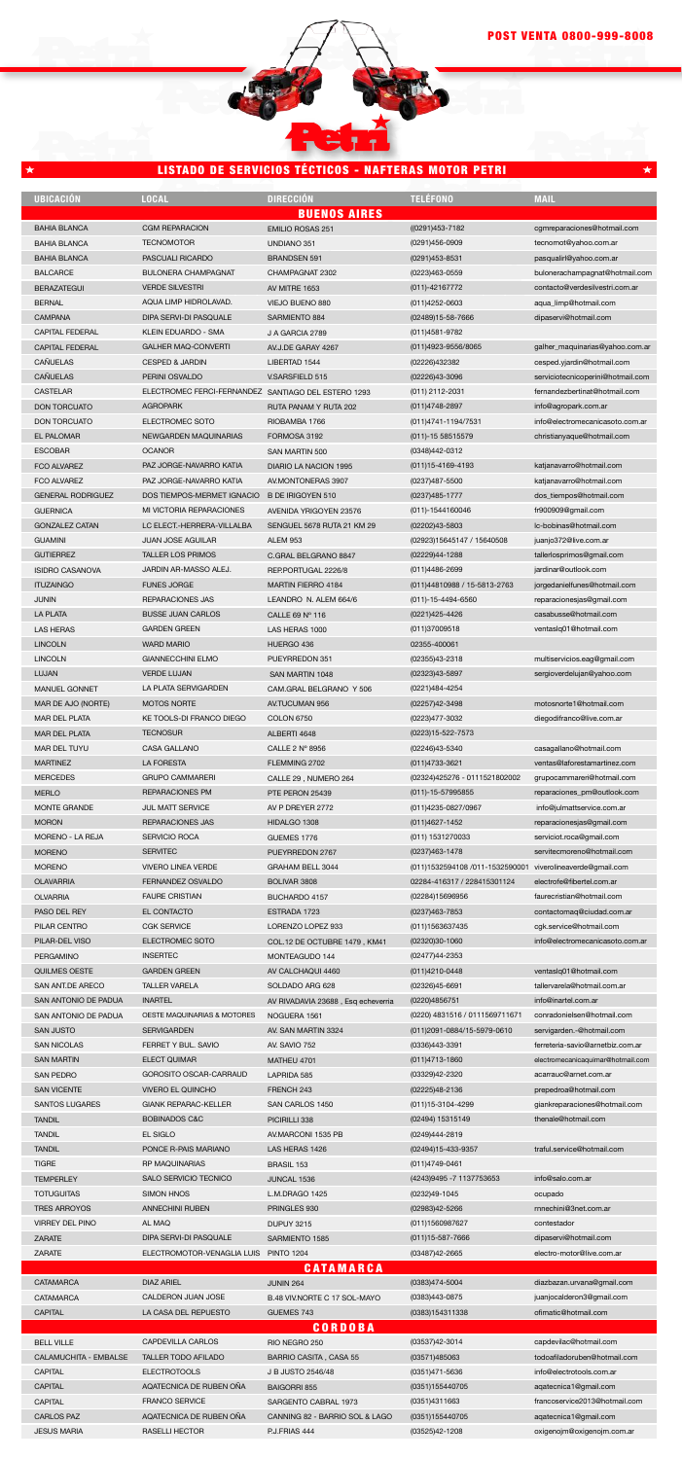PERGAMINO QUILMES OESTE SAN ANT.DE ARECO SAN ANTONIO DE PADUA SAN ANTONIO DE PADUA INSERTEC GARDEN GREEN TALLER VARELA INARTEL

OESTE MAQUINARIAS & MOTORES

(02477)44-2353 (011)4210-0448 (02326)45-6691 (0220)4856751

(0220) 4831516 / 0111569711671

BAHIA BLANCA BAHIA BLANCA BAHIA BLANCA **BALCARCE** BERAZATEGUI **BERNAL** CAMPANA CAPITAL FEDERAL CAPITAL FEDERAL CAÑUELAS CAÑUELAS CASTELAR DON TORCUATO DON TORCUATO EL PALOMAR **ESCOBAR** FCO ALVAREZ FCO ALVAREZ GENERAL RODRIGUEZ **GUERNICA** GONZALEZ CATAN GUAMINI **GUTIERREZ** ISIDRO CASANOVA ITUZAINGO JUNIN LA PLATA LAS HERAS LINCOLN LINCOLN LUJAN MANUEL GONNET MAR DE AJO (NORTE) MAR DEL PLATA MAR DEL PLATA MAR DEL TUYU MARTINEZ MERCEDES MERLO MONTE GRANDE MORON MORENO - LA REJA MORENO **MORENO OLAVARRIA** OLVARRIA PASO DEL REY PILAR CENTRO PILAR-DEL VISO CGM REPARACION **TECNOMOTOR** PASCUALI RICARDO BULONERA CHAMPAGNAT VERDE SILVESTRI AQUA LIMP HIDROLAVAD. DIPA SERVI-DI PASQUALE KLEIN EDUARDO - SMA GALHER MAQ-CONVERTI CESPED & JARDIN PERINI OSVALDO ELECTROMEC FERCI-FERNANDEZ SANTIAGO DEL ESTERO 1293 AGROPARK ELECTROMEC SOTO NEWGARDEN MAQUINARIAS OCANOR PAZ JORGE-NAVARRO KATIA PAZ JORGE-NAVARRO KATIA DOS TIEMPOS-MERMET IGNACIO B DE IRIGOYEN 510 MI VICTORIA REPARACIONES LC ELECT.-HERRERA-VILLALBA JUAN JOSE AGUILAR TALLER LOS PRIMOS JARDIN AR-MASSO ALEJ. FUNES JORGE REPARACIONES JAS BUSSE JUAN CARLOS GARDEN GREEN WARD MARIO GIANNECCHINI ELMO VERDE LUJAN LA PLATA SERVIGARDEN MOTOS NORTE KE TOOLS-DI FRANCO DIEGO **TECNOSUR** CASA GALLANO LA FORESTA GRUPO CAMMARERI REPARACIONES PM JUL MATT SERVICE REPARACIONES JAS SERVICIO ROCA **SERVITEC** VIVERO LINEA VERDE FERNANDEZ OSVALDO FAURE CRISTIAN EL CONTACTO CGK SERVICE ELECTROMEC SOTO ((0291)453-7182 (0291)456-0909 (0291)453-8531 (0223)463-0559 (011)-42167772 (011)4252-0603 (02489)15-58-7666 (011)4581-9782 (011)4923-9556/8065 (02226)432382 (02226)43-3096 (011) 2112-2031 (011)4748-2897 (011)4741-1194/7531 (011)-15 58515579 (0348)442-0312 (011)15-4169-4193 (0237)487-5500 (0237)485-1777 (011)-1544160046 (02202)43-5803 (02923)15645147 / 15640508 (02229)44-1288 (011)4486-2699 (011)44810988 / 15-5813-2763 (011)-15-4494-6560 (0221)425-4426 (011)37009518 02355-400061 (02355)43-2318 (02323)43-5897 (0221)484-4254 (02257)42-3498 (0223)477-3032 (0223)15-522-7573 (02246)43-5340 (011)4733-3621 (02324)425276 - 0111521802002 (011)-15-57995855 (011)4235-0827/0967 (011)4627-1452 (011) 1531270033 (0237)463-1478 (011)1532594108 /011-1532590001 02284-416317 / 228415301124 (02284)15696956 (0237)463-7853 (011)1563637435 (02320)30-1060 cgmreparaciones@hotmail.com tecnomot@yahoo.com.ar pasqualirl@yahoo.com.ar bulonerachampagnat@hotmail.com contacto@verdesilvestri.com.ar aqua\_limp@hotmail.com dipaservi@hotmail.com galher\_maquinarias@yahoo.com.ar cesped.yjardin@hotmail.com serviciotecnicoperini@hotmail.com fernandezbertinat@hotmail.com info@agropark.com.ar info@electromecanicasoto.com.ar christianyaque@hotmail.com katjanavarro@hotmail.com katjanavarro@hotmail.com dos\_tiempos@hotmail.com fr900909@gmail.com lc-bobinas@hotmail.com juanjo372@live.com.ar tallerlosprimos@gmail.com jardinar@outlook.com jorgedanielfunes@hotmail.com reparacionesjas@gmail.com casabusse@hotmail.com ventaslq01@hotmail.com multiservicios.eag@gmail.com sergioverdelujan@yahoo.com motosnorte1@hotmail.com diegodifranco@live.com.ar casagallano@hotmail.com ventas@laforestamartinez.com grupocammareri@hotmail.com reparaciones\_pm@outlook.com info@julmattservice.com.ar reparacionesjas@gmail.com serviciot.roca@gmail.com servitecmoreno@hotmail.com viverolineaverde@gmail.com electrofe@fibertel.com.ar faurecristian@hotmail.com contactomaq@ciudad.com.ar cgk.service@hotmail.com info@electromecanicasoto.com.ar EMILIO ROSAS 251 UNDIANO 351 BRANDSEN 591 CHAMPAGNAT 2302 AV MITRE 1653 VIEJO BUENO 880 SARMIENTO 884 J A GARCIA 2789 AV.J.DE GARAY 4267 LIBERTAD 1544 V.SARSFIELD 515 RUTA PANAM Y RUTA 202 RIOBAMBA 1766 FORMOSA 3192 SAN MARTIN 500 DIARIO LA NACION 1995 AV.MONTONERAS 3907 AVENIDA YRIGOYEN 23576 SENGUEL 5678 RUTA 21 KM 29 ALEM 953 C.GRAL BELGRANO 8847 REP.PORTUGAL 2226/8 MARTIN FIERRO 4184 LEANDRO N. ALEM 664/6 CALLE 69 Nº 116 LAS HERAS 1000 HUERGO 436 PUEYRREDON 351 SAN MARTIN 1048 CAM.GRAL BELGRANO Y 506 AV.TUCUMAN 956 COLON 6750 ALBERTI 4648 CALLE 2 Nº 8956 FLEMMING 2702 CALLE 29 , NUMERO 264 PTE PERON 25439 AV P DREYER 2772 HIDALGO 1308 GUEMES 1776 PUEYRREDON 2767 GRAHAM BELL 3044 BOLIVAR 3808 BUCHARDO 4157 ESTRADA 1723 LORENZO LOPEZ 933 COL.12 DE OCTUBRE 1479 , KM41 **UBICACIÓN LOCAL DIRECCIÓN TELÉFONO MAIL** BUENOS AIRES

| <b>SAN JUSTO</b>             | <b>SERVIGARDEN</b>            | AV. SAN MARTIN 3324            | (011)2091-0884/15-5979-0610 | servigarden.-@hotmail.com         |  |
|------------------------------|-------------------------------|--------------------------------|-----------------------------|-----------------------------------|--|
| <b>SAN NICOLAS</b>           | FERRET Y BUL, SAVIO           | AV. SAVIO 752                  | (0336)443-3391              | ferreteria-savio@arnetbiz.com.ar  |  |
| <b>SAN MARTIN</b>            | <b>ELECT QUIMAR</b>           | MATHEU 4701                    | (011)4713-1860              | electromecanicaquimar@hotmail.com |  |
| <b>SAN PEDRO</b>             | <b>GOROSITO OSCAR-CARRAUD</b> | LAPRIDA 585                    | (03329)42-2320              | acarrauc@arnet.com.ar             |  |
| <b>SAN VICENTE</b>           | <b>VIVERO EL QUINCHO</b>      | FRENCH 243                     | (02225)48-2136              | prepedroa@hotmail.com             |  |
| <b>SANTOS LUGARES</b>        | <b>GIANK REPARAC-KELLER</b>   | SAN CARLOS 1450                | (011)15-3104-4299           | giankreparaciones@hotmail.com     |  |
| <b>TANDIL</b>                | <b>BOBINADOS C&amp;C</b>      | PICIRILLI 338                  | (02494) 15315149            | thenale@hotmail.com               |  |
| <b>TANDIL</b>                | <b>EL SIGLO</b>               | AV.MARCONI 1535 PB             | (0249)444-2819              |                                   |  |
| <b>TANDIL</b>                | PONCE R-PAIS MARIANO          | LAS HERAS 1426                 | (02494)15-433-9357          | traful.service@hotmail.com        |  |
| <b>TIGRE</b>                 | <b>RP MAQUINARIAS</b>         | <b>BRASIL 153</b>              | (011)4749-0461              |                                   |  |
| <b>TEMPERLEY</b>             | SALO SERVICIO TECNICO         | JUNCAL 1536                    | (4243)9495 -7 1137753653    | info@salo.com.ar                  |  |
| <b>TOTUGUITAS</b>            | <b>SIMON HNOS</b>             | L.M.DRAGO 1425                 | (0232)49-1045               | ocupado                           |  |
| <b>TRES ARROYOS</b>          | <b>ANNECHINI RUBEN</b>        | PRINGLES 930                   | (02983)42-5266              | rnnechini@3net.com.ar             |  |
| <b>VIRREY DEL PINO</b>       | AL MAQ                        | <b>DUPUY 3215</b>              | (011)1560987627             | contestador                       |  |
| <b>ZARATE</b>                | DIPA SERVI-DI PASQUALE        | SARMIENTO 1585                 | $(011)15 - 587 - 7666$      | dipaservi@hotmail.com             |  |
| <b>ZARATE</b>                | ELECTROMOTOR-VENAGLIA LUIS    | <b>PINTO 1204</b>              | (03487)42-2665              | electro-motor@live.com.ar         |  |
|                              |                               | <b>CATAMARCA</b>               |                             |                                   |  |
| <b>CATAMARCA</b>             | <b>DIAZ ARIEL</b>             | <b>JUNIN 264</b>               | (0383)474-5004              | diazbazan.urvana@qmail.com        |  |
| <b>CATAMARCA</b>             | CALDERON JUAN JOSE            | B.48 VIV.NORTE C 17 SOL-MAYO   | (0383)443-0875              | juanjocalderon3@gmail.com         |  |
| <b>CAPITAL</b>               | LA CASA DEL REPUESTO          | GUEMES 743                     | (0383)154311338             | ofimatic@hotmail.com              |  |
| <b>CORDOBA</b>               |                               |                                |                             |                                   |  |
| <b>BELL VILLE</b>            | <b>CAPDEVILLA CARLOS</b>      | RIO NEGRO 250                  | (03537)42-3014              | capdevilac@hotmail.com            |  |
| <b>CALAMUCHITA - EMBALSE</b> | <b>TALLER TODO AFILADO</b>    | BARRIO CASITA, CASA 55         | (03571)485063               | todoafiladoruben@hotmail.com      |  |
| <b>CAPITAL</b>               | <b>ELECTROTOOLS</b>           | J B JUSTO 2546/48              | (0351)471-5636              | info@electrotools.com.ar          |  |
| CAPITAL                      | AQATECNICA DE RUBEN OÑA       | <b>BAIGORRI 855</b>            | (0351)155440705             | agatecnica1@gmail.com             |  |
| <b>CAPITAL</b>               | <b>FRANCO SERVICE</b>         | SARGENTO CABRAL 1973           | (0351)4311663               | francoservice2013@hotmail.com     |  |
| <b>CARLOS PAZ</b>            | AQATECNICA DE RUBEN OÑA       | CANNING 82 - BARRIO SOL & LAGO | (0351)155440705             | agatecnica1@gmail.com             |  |
| <b>JESUS MARIA</b>           | <b>RASELLI HECTOR</b>         | P.J.FRIAS 444                  | (03525)42-1208              | oxigenojm@oxigenojm.com.ar        |  |

ventaslq01@hotmail.com tallervarela@hotmail.com.ar info@inartel.com.ar conradonielsen@hotmail.com

MONTEAGUDO 144 AV CALCHAQUI 4460 SOLDADO ARG 628

AV RIVADAVIA 23688 , Esq echeverria

NOGUERA 1561

## LISTADO DE SERVICIOS TÉCTICOS - NAFTERAS MOTOR PETRI

|   | and the state of the state of the state of the state of the state of the state of the state of the state of th |  |  |
|---|----------------------------------------------------------------------------------------------------------------|--|--|
| Ξ |                                                                                                                |  |  |
|   |                                                                                                                |  |  |
|   |                                                                                                                |  |  |
|   |                                                                                                                |  |  |
|   |                                                                                                                |  |  |
|   |                                                                                                                |  |  |

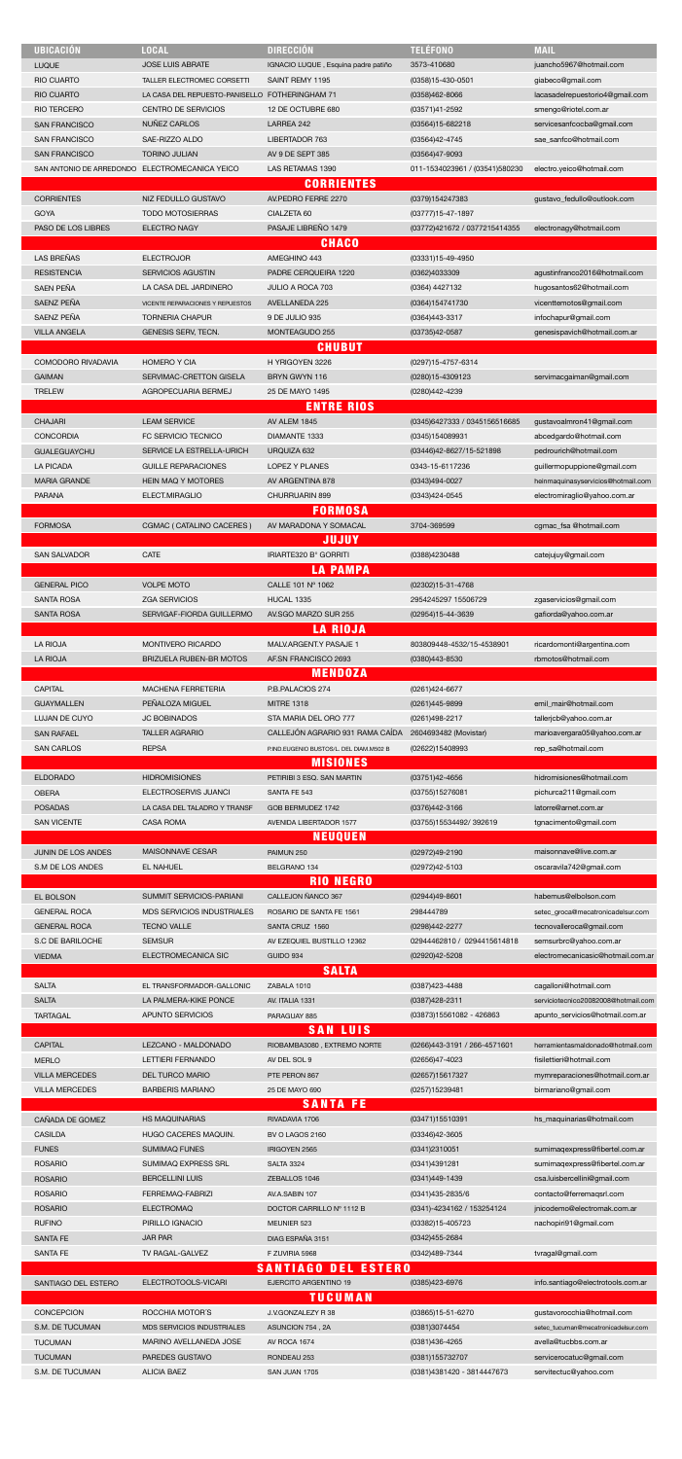| <b>UBICACIÓN</b>                               | <b>LOCAL</b>                            | <b>DIRECCIÓN</b>                        | <b>TELÉFONO</b>                  | <b>MAIL</b>                                                  |
|------------------------------------------------|-----------------------------------------|-----------------------------------------|----------------------------------|--------------------------------------------------------------|
|                                                |                                         |                                         |                                  |                                                              |
| <b>LUQUE</b>                                   | <b>JOSE LUIS ABRATE</b>                 | IGNACIO LUQUE, Esquina padre patiño     | 3573-410680                      | juancho5967@hotmail.com                                      |
| <b>RIO CUARTO</b>                              | TALLER ELECTROMEC CORSETTI              | SAINT REMY 1195                         | (0358)15-430-0501                | giabeco@gmail.com                                            |
| <b>RIO CUARTO</b>                              | LA CASA DEL REPUESTO-PANISELLO          | FOTHERINGHAM 71                         | (0358)462-8066                   | lacasadelrepuestorio4@gmail.com                              |
| <b>RIO TERCERO</b>                             | <b>CENTRO DE SERVICIOS</b>              | 12 DE OCTUBRE 680                       | (03571)41-2592                   | smengo@riotel.com.ar                                         |
| <b>SAN FRANCISCO</b>                           | NUÑEZ CARLOS                            | LARREA 242                              | (03564)15-682218                 | servicesanfcocba@gmail.com                                   |
| <b>SAN FRANCISCO</b>                           | SAE-RIZZO ALDO                          | LIBERTADOR 763                          | (03564)42-4745                   | sae_sanfco@hotmail.com                                       |
| <b>SAN FRANCISCO</b>                           | <b>TORINO JULIAN</b>                    | AV 9 DE SEPT 385                        | (03564)47-9093                   |                                                              |
| SAN ANTONIO DE ARREDONDO ELECTROMECANICA YEICO |                                         | LAS RETAMAS 1390                        | 011-1534023961 / (03541)580230   |                                                              |
|                                                |                                         |                                         |                                  | electro.yeico@hotmail.com                                    |
|                                                |                                         | <b>CORRIENTES</b>                       |                                  |                                                              |
| <b>CORRIENTES</b>                              | NIZ FEDULLO GUSTAVO                     | AV.PEDRO FERRE 2270                     | (0379)154247383                  | qustavo fedullo@outlook.com                                  |
| <b>GOYA</b>                                    | <b>TODO MOTOSIERRAS</b>                 | CIALZETA 60                             | (03777)15-47-1897                |                                                              |
| PASO DE LOS LIBRES                             | <b>ELECTRO NAGY</b>                     | PASAJE LIBREÑO 1479                     | (03772)421672 / 0377215414355    | electronagy@hotmail.com                                      |
|                                                |                                         | <b>CHACO</b>                            |                                  |                                                              |
| <b>LAS BREÑAS</b>                              | <b>ELECTROJOR</b>                       | AMEGHINO 443                            | (03331)15-49-4950                |                                                              |
| <b>RESISTENCIA</b>                             | <b>SERVICIOS AGUSTIN</b>                | PADRE CERQUEIRA 1220                    | (0362)4033309                    | agustinfranco2016@hotmail.com                                |
| <b>SAEN PEÑA</b>                               | LA CASA DEL JARDINERO                   |                                         |                                  |                                                              |
|                                                |                                         | JULIO A ROCA 703                        | (0364) 4427132                   | hugosantos62@hotmail.com                                     |
| SAENZ PEÑA                                     | <b>VICENTE REPARACIONES Y REPUESTOS</b> | AVELLANEDA 225                          | (0364)154741730                  | vicenttemotos@gmail.com                                      |
| SAENZ PEÑA                                     | <b>TORNERIA CHAPUR</b>                  | 9 DE JULIO 935                          | (0364)443-3317                   | infochapur@gmail.com                                         |
| <b>VILLA ANGELA</b>                            | GENESIS SERV, TECN.                     | MONTEAGUDO 255                          | (03735)42-0587                   | genesispavich@hotmail.com.ar                                 |
|                                                |                                         | <b>CHUBUT</b>                           |                                  |                                                              |
| COMODORO RIVADAVIA                             | <b>HOMERO Y CIA</b>                     | H YRIGOYEN 3226                         | (0297)15-4757-6314               |                                                              |
| <b>GAIMAN</b>                                  | SERVIMAC-CRETTON GISELA                 | BRYN GWYN 116                           | (0280)15-4309123                 | servimacgaiman@gmail.com                                     |
| <b>TRELEW</b>                                  | AGROPECUARIA BERMEJ                     | 25 DE MAYO 1495                         | (0280)442-4239                   |                                                              |
|                                                |                                         |                                         |                                  |                                                              |
|                                                |                                         | <b>ENTRE RIOS</b>                       |                                  |                                                              |
| <b>CHAJARI</b>                                 | <b>LEAM SERVICE</b>                     | <b>AV ALEM 1845</b>                     | (0345)6427333 / 0345156516685    | gustavoalmron41@gmail.com                                    |
| <b>CONCORDIA</b>                               | FC SERVICIO TECNICO                     | DIAMANTE 1333                           | (0345)154089931                  | abcedgardo@hotmail.com                                       |
| <b>GUALEGUAYCHU</b>                            | SERVICE LA ESTRELLA-URICH               | URQUIZA 632                             | (03446)42-8627/15-521898         | pedrourich@hotmail.com                                       |
| LA PICADA                                      | <b>GUILLE REPARACIONES</b>              | LOPEZ Y PLANES                          | 0343-15-6117236                  | guillermopuppione@gmail.com                                  |
| <b>MARIA GRANDE</b>                            | <b>HEIN MAQ Y MOTORES</b>               | AV ARGENTINA 878                        |                                  | heinmaquinasyservicios@hotmail.com                           |
|                                                |                                         |                                         | (0343)494-0027                   |                                                              |
| <b>PARANA</b>                                  | ELECT.MIRAGLIO                          | CHURRUARIN 899                          | (0343)424-0545                   | electromiraglio@yahoo.com.ar                                 |
|                                                |                                         | <b>FORMOSA</b>                          |                                  |                                                              |
| <b>FORMOSA</b>                                 | CGMAC (CATALINO CACERES)                | AV MARADONA Y SOMACAL                   | 3704-369599                      | cgmac_fsa @hotmail.com                                       |
|                                                |                                         | <b>JUJUY</b>                            |                                  |                                                              |
| <b>SAN SALVADOR</b>                            | CATE                                    | IRIARTE320 B° GORRITI                   | (0388)4230488                    | catejujuy@gmail.com                                          |
|                                                |                                         | <b>LA PAMPA</b>                         |                                  |                                                              |
| <b>GENERAL PICO</b>                            | <b>VOLPE MOTO</b>                       | CALLE 101 Nº 1062                       | (02302)15-31-4768                |                                                              |
|                                                |                                         |                                         |                                  |                                                              |
| <b>SANTA ROSA</b>                              | <b>ZGA SERVICIOS</b>                    | HUCAL 1335                              | 2954245297 15506729              | zgaservicios@gmail.com                                       |
| <b>SANTA ROSA</b>                              | SERVIGAF-FIORDA GUILLERMO               | AV.SGO MARZO SUR 255                    | (02954)15-44-3639                | gafiorda@yahoo.com.ar                                        |
|                                                |                                         | <b>LA RIOJA</b>                         |                                  |                                                              |
| <b>LA RIOJA</b>                                | <b>MONTIVERO RICARDO</b>                | MALV.ARGENT.Y PASAJE 1                  | 803809448-4532/15-4538901        | ricardomonti@argentina.com                                   |
| <b>LA RIOJA</b>                                | <b>BRIZUELA RUBEN-BR MOTOS</b>          | AF.SN FRANCISCO 2693                    | (0380)443-8530                   | rbmotos@hotmail.com                                          |
|                                                |                                         | <b>MENDOZA</b>                          |                                  |                                                              |
| <b>CAPITAL</b>                                 | <b>MACHENA FERRETERIA</b>               | P.B.PALACIOS 274                        | (0261)424-6677                   |                                                              |
| <b>GUAYMALLEN</b>                              | PENALOZA MIGUEL                         | <b>MITRE 1318</b>                       | (0261)445-9899                   | emil mair@hotmail.com                                        |
|                                                |                                         |                                         |                                  |                                                              |
|                                                | <b>JC BOBINADOS</b>                     | STA MARIA DEL ORO 777                   | (0261)498-2217                   | tallerjcb@yahoo.com.ar                                       |
| LUJAN DE CUYO                                  |                                         |                                         |                                  |                                                              |
| <b>SAN RAFAEL</b>                              | <b>TALLER AGRARIO</b>                   | CALLEJÓN AGRARIO 931 RAMA CAÍDA         | 2604693482 (Movistar)            | marioavergara05@yahoo.com.ar                                 |
| <b>SAN CARLOS</b>                              | <b>REPSA</b>                            | P.IND.EUGENIO BUSTOS/L. DEL DIAM.M502 B | (02622)15408993                  | rep_sa@hotmail.com                                           |
|                                                |                                         | <b>MISIONES</b>                         |                                  |                                                              |
|                                                |                                         |                                         |                                  |                                                              |
| <b>ELDORADO</b>                                | <b>HIDROMISIONES</b>                    | PETIRIBI 3 ESQ. SAN MARTIN              | $(03751)42 - 4656$               | hidromisiones@hotmail.com                                    |
| <b>OBERA</b>                                   | ELECTROSERVIS JUANCI                    | SANTA FE 543                            | (03755)15276081                  | pichurca211@gmail.com                                        |
| <b>POSADAS</b>                                 | LA CASA DEL TALADRO Y TRANSF            | GOB BERMUDEZ 1742                       | (0376)442-3166                   | latorre@arnet.com.ar                                         |
| <b>SAN VICENTE</b>                             | <b>CASA ROMA</b>                        | AVENIDA LIBERTADOR 1577                 | (03755)15534492/392619           | tgnacimento@gmail.com                                        |
|                                                |                                         | <b>NEUQUEN</b>                          |                                  |                                                              |
| JUNIN DE LOS ANDES                             | <b>MAISONNAVE CESAR</b>                 | PAIMUN 250                              | (02972)49-2190                   | maisonnave@live.com.ar                                       |
| S.M DE LOS ANDES                               | EL NAHUEL                               | BELGRANO 134                            | (02972)42-5103                   | oscaravila742@gmail.com                                      |
|                                                |                                         |                                         |                                  |                                                              |
|                                                |                                         | <b>RIO NEGRO</b>                        |                                  |                                                              |
| EL BOLSON                                      | SUMMIT SERVICIOS-PARIANI                | CALLEJON ÑANCO 367                      | (02944)49-8601                   | habemus@elbolson.com                                         |
| <b>GENERAL ROCA</b>                            | <b>MDS SERVICIOS INDUSTRIALES</b>       | ROSARIO DE SANTA FE 1561                | 298444789                        | setec_groca@mecatronicadelsur.com                            |
| <b>GENERAL ROCA</b>                            | <b>TECNO VALLE</b>                      | SANTA CRUZ 1560                         | (0298)442-2277                   | tecnovalleroca@gmail.com                                     |
| S.C DE BARILOCHE                               | <b>SEMSUR</b>                           | AV EZEQUIEL BUSTILLO 12362              | 02944462810 / 0294415614818      | semsurbrc@yahoo.com.ar                                       |
| <b>VIEDMA</b>                                  | ELECTROMECANICA SIC                     | GUIDO 934                               | (02920)42-5208                   | electromecanicasic@hotmail.com.ar                            |
|                                                |                                         | <b>SALTA</b>                            |                                  |                                                              |
| <b>SALTA</b>                                   | EL TRANSFORMADOR-GALLONIC               | ZABALA 1010                             |                                  |                                                              |
| <b>SALTA</b>                                   | LA PALMERA-KIKE PONCE                   | AV. ITALIA 1331                         | (0387)423-4488<br>(0387)428-2311 | cagalloni@hotmail.com<br>serviciotecnico20082008@hotmail.com |
|                                                |                                         |                                         |                                  |                                                              |
| <b>TARTAGAL</b>                                | APUNTO SERVICIOS                        | PARAGUAY 885                            | (03873)15561082 - 426863         | apunto_servicios@hotmail.com.ar                              |
|                                                |                                         | <b>SAN LUIS</b>                         |                                  |                                                              |
| <b>CAPITAL</b>                                 | LEZCANO - MALDONADO                     | RIOBAMBA3080 . EXTREMO NORTE            | (0266)443-3191 / 266-4571601     | herramientasmaldonado@hotmail.com                            |
| <b>MERLO</b>                                   | <b>LETTIERI FERNANDO</b>                | AV DEL SOL 9                            | (02656)47-4023                   | fisilettieri@hotmail.com                                     |
| <b>VILLA MERCEDES</b>                          | <b>DEL TURCO MARIO</b>                  | PTE PERON 867                           | (02657)15617327                  | mymreparaciones@hotmail.com.ar                               |
| <b>VILLA MERCEDES</b>                          | <b>BARBERIS MARIANO</b>                 | 25 DE MAYO 690                          | (0257)15239481                   | birmariano@gmail.com                                         |
|                                                |                                         |                                         |                                  |                                                              |
|                                                |                                         | <b>SANTA FE</b>                         |                                  |                                                              |
| CAÑADA DE GOMEZ                                | HS MAQUINARIAS                          | RIVADAVIA 1706                          | (03471)15510391                  | hs_maquinarias@hotmail.com                                   |
| <b>CASILDA</b>                                 | HUGO CACERES MAQUIN.                    | BV O LAGOS 2160                         | (03346)42-3605                   |                                                              |
| <b>FUNES</b>                                   | <b>SUMIMAQ FUNES</b>                    | IRIGOYEN 2565                           | (0341)2310051                    | sumimagexpress@fibertel.com.ar                               |
| <b>ROSARIO</b>                                 | SUMIMAQ EXPRESS SRL                     | <b>SALTA 3324</b>                       | (0341)4391281                    | sumimagexpress@fibertel.com.ar                               |
| <b>ROSARIO</b>                                 | <b>BERCELLINI LUIS</b>                  | ZEBALLOS 1046                           | (0341)449-1439                   | csa.luisbercellini@gmail.com                                 |
| <b>ROSARIO</b>                                 | FERREMAQ-FABRIZI                        | AV.A.SABIN 107                          | (0341)435-2835/6                 | contacto@ferremaqsrl.com                                     |
|                                                |                                         | DOCTOR CARRILLO Nº 1112 B               |                                  |                                                              |
| <b>ROSARIO</b>                                 | <b>ELECTROMAQ</b>                       |                                         | (0341)-4234162 / 153254124       | jnicodemo@electromak.com.ar                                  |
| <b>RUFINO</b>                                  | PIRILLO IGNACIO                         | MEUNIER 523                             | (03382)15-405723                 | nachopiri91@gmail.com                                        |
| SANTA FE                                       | <b>JAR PAR</b>                          | DIAG ESPAÑA 3151                        | (0342)455-2684                   |                                                              |
| <b>SANTA FE</b>                                | TV RAGAL-GALVEZ                         | F ZUVIRIA 5968                          | (0342)489-7344                   | tvragal@gmail.com                                            |
|                                                |                                         | <b>SANTIAGO DEL ESTERO</b>              |                                  |                                                              |
| SANTIAGO DEL ESTERO                            | ELECTROTOOLS-VICARI                     | EJERCITO ARGENTINO 19                   | (0385)423-6976                   | info.santiago@electrotools.com.ar                            |
|                                                |                                         | <b>TUCUMAN</b>                          |                                  |                                                              |
|                                                | ROCCHIA MOTOR'S                         | J.V.GONZALEZY R 38                      |                                  |                                                              |
| CONCEPCION                                     |                                         |                                         | (03865)15-51-6270                | gustavorocchia@hotmail.com                                   |
| S.M. DE TUCUMAN                                | <b>MDS SERVICIOS INDUSTRIALES</b>       | ASUNCION 754, 2A                        | (0381)3074454                    | setec_tucuman@mecatronicadelsur.com                          |
| <b>TUCUMAN</b>                                 | MARINO AVELLANEDA JOSE                  | AV ROCA 1674                            | (0381)436-4265                   | avella@tucbbs.com.ar                                         |
| <b>TUCUMAN</b>                                 | PAREDES GUSTAVO                         | RONDEAU 253                             | (0381)155732707                  | servicerocatuc@gmail.com                                     |